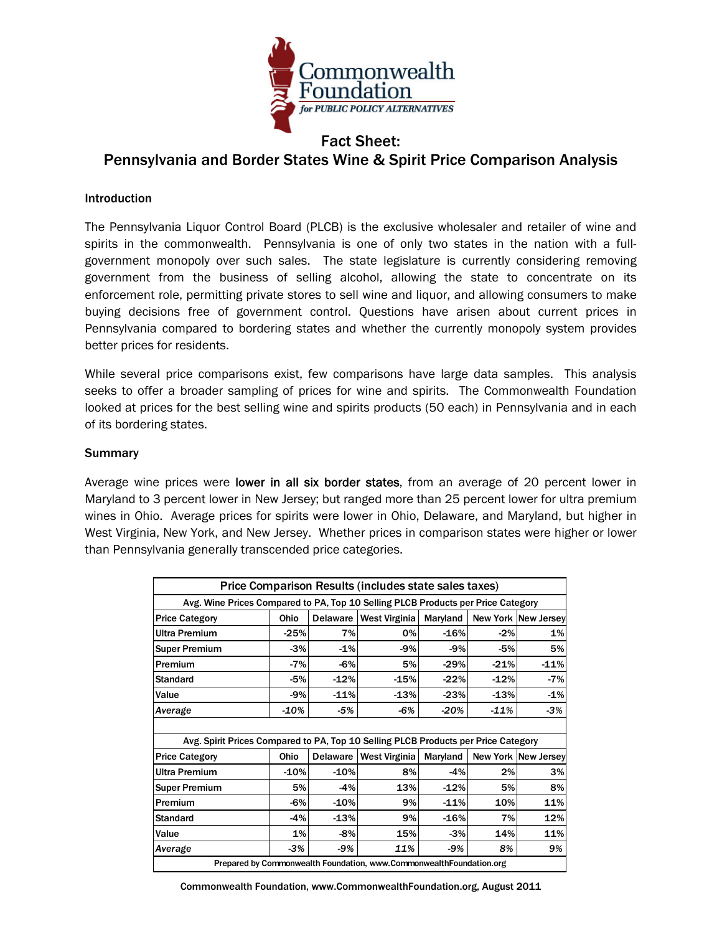

## Fact Sheet: Pennsylvania and Border States Wine & Spirit Price Comparison Analysis

## Introduction

The Pennsylvania Liquor Control Board (PLCB) is the exclusive wholesaler and retailer of wine and spirits in the commonwealth. Pennsylvania is one of only two states in the nation with a fullgovernment monopoly over such sales. The state legislature is currently considering removing government from the business of selling alcohol, allowing the state to concentrate on its enforcement role, permitting private stores to sell wine and liquor, and allowing consumers to make buying decisions free of government control. Questions have arisen about current prices in Pennsylvania compared to bordering states and whether the currently monopoly system provides better prices for residents.

While several price comparisons exist, few comparisons have large data samples. This analysis seeks to offer a broader sampling of prices for wine and spirits.The Commonwealth Foundation looked at prices for the best selling wine and spirits products (50 each) in Pennsylvania and in each of its bordering states.

## **Summary**

Average wine prices were lower in all six border states, from an average of 20 percent lower in Maryland to 3 percent lower in New Jersey; but ranged more than 25 percent lower for ultra premium wines in Ohio. Average prices for spirits were lower in Ohio, Delaware, and Maryland, but higher in West Virginia, New York, and New Jersey. Whether prices in comparison states were higher or lower than Pennsylvania generally transcended price categories.

| Price Comparison Results (includes state sales taxes)                              |        |          |                      |          |        |                            |
|------------------------------------------------------------------------------------|--------|----------|----------------------|----------|--------|----------------------------|
| Avg. Wine Prices Compared to PA, Top 10 Selling PLCB Products per Price Category   |        |          |                      |          |        |                            |
| <b>Price Category</b>                                                              | Ohio   | Delaware | <b>West Virginia</b> | Maryland |        | <b>New York New Jersey</b> |
| <b>Ultra Premium</b>                                                               | $-25%$ | 7%       | 0%                   | $-16%$   | $-2%$  | 1%                         |
| <b>Super Premium</b>                                                               | $-3%$  | $-1%$    | $-9%$                | $-9%$    | $-5%$  | 5%                         |
| Premium                                                                            | $-7%$  | $-6%$    | 5%                   | $-29%$   | $-21%$ | $-11%$                     |
| <b>Standard</b>                                                                    | $-5%$  | $-12%$   | $-15%$               | $-22%$   | $-12%$ | $-7%$                      |
| Value                                                                              | $-9%$  | $-11%$   | $-13%$               | $-23%$   | $-13%$ | $-1%$                      |
| Average                                                                            | $-10%$ | $-5%$    | -6%                  | $-20%$   | $-11%$ | $-3%$                      |
|                                                                                    |        |          |                      |          |        |                            |
| Avg. Spirit Prices Compared to PA, Top 10 Selling PLCB Products per Price Category |        |          |                      |          |        |                            |
| <b>Price Category</b>                                                              | Ohio   | Delaware | <b>West Virginia</b> | Maryland |        | <b>New York New Jersey</b> |
| <b>Ultra Premium</b>                                                               | $-10%$ | $-10%$   | 8%                   | $-4%$    | 2%     | 3%                         |
| <b>Super Premium</b>                                                               | 5%     | $-4%$    | 13%                  | $-12%$   | 5%     | 8%                         |
| Premium                                                                            | $-6%$  | $-10%$   | 9%                   | $-11%$   | 10%    | 11%                        |
| <b>Standard</b>                                                                    | $-4%$  | $-13%$   | 9%                   | $-16%$   | 7%     | 12%                        |
| Value                                                                              | 1%     | $-8%$    | 15%                  | $-3%$    | 14%    | 11%                        |
| Average                                                                            | $-3%$  | $-9%$    | 11%                  | $-9%$    | 8%     | 9%                         |
| Prepared by Commonwealth Foundation, www.Commonwealth Foundation.org               |        |          |                      |          |        |                            |

Commonwealth Foundation, www.CommonwealthFoundation.org, August 2011